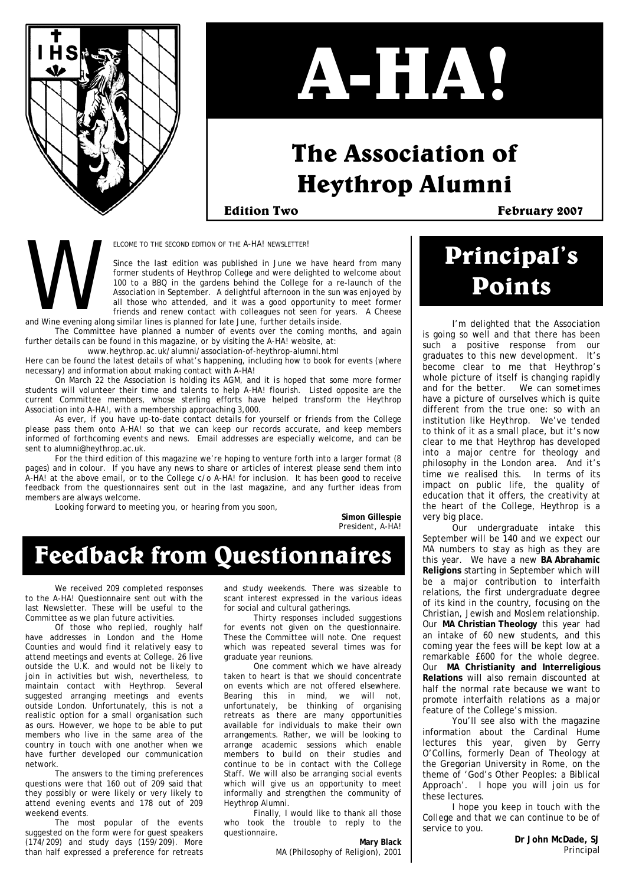

# **A-HA!**

### **The Association of Heythrop Alumni**

**Edition Two February 2007** 

ELCOME TO THE SECOND EDITION OF THE A-HA! NEWSLETTER!

Since the last edition was published in June we have heard from many former students of Heythrop College and were delighted to welcome about 100 to a BBQ in the gardens behind the College for a re-launch of the Association in September. A delightful afternoon in the sun was enjoyed by all those who attended, and it was a good opportunity to meet former friends and renew contact with colleagues not seen for years. A Cheese and Wine evening along similar lines is planned for late June, further details inside. ELCOM<br>Since<br>forme<br>and Wine evening along simil

 The Committee have planned a number of events over the coming months, and again further details can be found in this magazine, or by visiting the A-HA! website, at:

www.heythrop.ac.uk/alumni/association-of-heythrop-alumni.html

Here can be found the latest details of what's happening, including how to book for events (where necessary) and information about making contact with A-HA!

 On March 22 the Association is holding its AGM, and it is hoped that some more former students will volunteer their time and talents to help A-HA! flourish. Listed opposite are the current Committee members, whose sterling efforts have helped transform the Heythrop Association into A-HA!, with a membership approaching 3,000.

As ever, if you have up-to-date contact details for yourself or friends from the College please pass them onto A-HA! so that we can keep our records accurate, and keep members informed of forthcoming events and news. Email addresses are especially welcome, and can be sent to alumni@heythrop.ac.uk.

 For the third edition of this magazine we're hoping to venture forth into a larger format (8 pages) and in colour. If you have any news to share or articles of interest please send them into A-HA! at the above email, or to the College c/o A-HA! for inclusion. It has been good to receive feedback from the questionnaires sent out in the last magazine, and any further ideas from members are always welcome.

Looking forward to meeting you, or hearing from you soon,

**Simon Gillespie**  President, A-HA!

### **Feedback from Questionnaires**

We received 209 completed responses to the A-HA! Questionnaire sent out with the last Newsletter. These will be useful to the Committee as we plan future activities.

 Of those who replied, roughly half have addresses in London and the Home Counties and would find it relatively easy to attend meetings and events at College. 26 live outside the U.K. and would not be likely to join in activities but wish, nevertheless, to maintain contact with Heythrop. Several suggested arranging meetings and events outside London. Unfortunately, this is not a realistic option for a small organisation such as ours. However, we hope to be able to put members who live in the same area of the country in touch with one another when we have further developed our communication network.

 The answers to the timing preferences questions were that 160 out of 209 said that they possibly or were likely or very likely to attend evening events and 178 out of 209 weekend events.

 The most popular of the events suggested on the form were for guest speakers (174/209) and study days (159/209). More than half expressed a preference for retreats and study weekends. There was sizeable to scant interest expressed in the various ideas for social and cultural gatherings.

 Thirty responses included suggestions for events not given on the questionnaire. These the Committee will note. One request which was repeated several times was for graduate year reunions.

 One comment which we have already taken to heart is that we should concentrate on events which are not offered elsewhere. Bearing this in mind, we will not, unfortunately, be thinking of organising retreats as there are many opportunities available for individuals to make their own arrangements. Rather, we will be looking to arrange academic sessions which enable members to build on their studies and continue to be in contact with the College Staff. We will also be arranging social events which will give us an opportunity to meet informally and strengthen the community of Heythrop Alumni.

 Finally, I would like to thank all those who took the trouble to reply to the questionnaire.

**Mary Black**  MA (Philosophy of Religion), 2001

### **Principal's Points**

I'm delighted that the Association is going so well and that there has been such a positive response from our graduates to this new development. It's become clear to me that Heythrop's whole picture of itself is changing rapidly and for the better. We can sometimes have a picture of ourselves which is quite different from the true one: so with an institution like Heythrop. We've tended to think of it as a small place, but it's now clear to me that Heythrop has developed into a major centre for theology and philosophy in the London area. And it's time we realised this. In terms of its impact on public life, the quality of education that it offers, the creativity at the heart of the College, Heythrop is a very big place.

 Our undergraduate intake this September will be 140 and we expect our MA numbers to stay as high as they are this year. We have a new **BA Abrahamic Religions** starting in September which will be a major contribution to interfaith relations, the first undergraduate degree of its kind in the country, focusing on the Christian, Jewish and Moslem relationship. Our **MA Christian Theology** this year had an intake of 60 new students, and this coming year the fees will be kept low at a remarkable £600 for the whole degree. Our **MA Christianity and Interreligious Relations** will also remain discounted at half the normal rate because we want to promote interfaith relations as a major feature of the College's mission.

You'll see also with the magazine information about the Cardinal Hume lectures this year, given by Gerry O'Collins, formerly Dean of Theology at the Gregorian University in Rome, on the theme of 'God's Other Peoples: a Biblical Approach'. I hope you will join us for these lectures.

 I hope you keep in touch with the College and that we can continue to be of service to you.

> **Dr John McDade, SJ**  Principal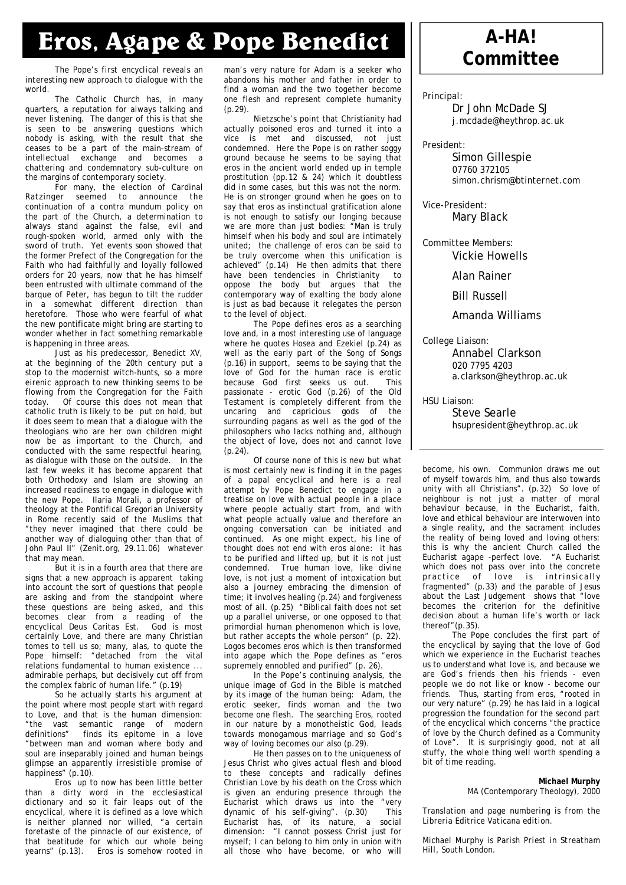### **Eros, Agape & Pope Benedict A-HA!**

*The Pope's first encyclical reveals an interesting new approach to dialogue with the world.* 

 The Catholic Church has, in many quarters, a reputation for always talking and never listening. The danger of this is that she is seen to be answering questions which nobody is asking, with the result that she ceases to be a part of the main-stream of intellectual exchange and becomes a chattering and condemnatory sub-culture on the margins of contemporary society.

 For many, the election of Cardinal Ratzinger seemed to announce the continuation of a contra mundum policy on the part of the Church, a determination to always stand against the false, evil and rough-spoken world, armed only with the sword of truth. Yet events soon showed that the former Prefect of the Congregation for the Faith who had faithfully and loyally followed orders for 20 years, now that he has himself been entrusted with ultimate command of the barque of Peter, has begun to tilt the rudder in a somewhat different direction than heretofore. Those who were fearful of what the new pontificate might bring are starting to wonder whether in fact something remarkable is happening in three areas.

 Just as his predecessor, Benedict XV, at the beginning of the 20th century put a stop to the modernist witch-hunts, so a more eirenic approach to new thinking seems to be flowing from the Congregation for the Faith today. Of course this does not mean that catholic truth is likely to be put on hold, but it does seem to mean that a dialogue with the theologians who are her own children might now be as important to the Church, and conducted with the same respectful hearing, as dialogue with those on the outside. In the last few weeks it has become apparent that both Orthodoxy and Islam are showing an increased readiness to engage in dialogue with the new Pope. Ilaria Morali, a professor of theology at the Pontifical Gregorian University in Rome recently said of the Muslims that "they never imagined that there could be another way of dialoguing other than that of John Paul II" (Zenit.org, 29.11.06) whatever that may mean.

 But it is in a fourth area that there are signs that a new approach is apparent taking into account the sort of questions that people are asking and from the standpoint where these questions are being asked, and this becomes clear from a reading of the encyclical Deus Caritas Est. God is most certainly Love, and there are many Christian tomes to tell us so; many, alas, to quote the Pope himself: "detached from the vital relations fundamental to human existence ... admirable perhaps, but decisively cut off from the complex fabric of human life." (p.19)

 So he actually starts his argument at the point where most people start with regard to Love, and that is the human dimension: "the vast semantic range of modern definitions" finds its epitome in a love "between man and woman where body and soul are inseparably joined and human beings glimpse an apparently irresistible promise of happiness" (p.10).

Eros up to now has been little better than a dirty word in the ecclesiastical dictionary and so it fair leaps out of the encyclical, where it is defined as a love which is neither planned nor willed, "a certain foretaste of the pinnacle of our existence, of that beatitude for which our whole being yearns" (p.13). Eros is somehow rooted in

man's very nature for Adam is a seeker who abandons his mother and father in order to find a woman and the two together become one flesh and represent complete humanity (p.29).

 Nietzsche's point that Christianity had actually poisoned eros and turned it into a vice is met and discussed, not just condemned. Here the Pope is on rather soggy ground because he seems to be saying that eros in the ancient world ended up in temple prostitution (pp.12 & 24) which it doubtless did in some cases, but this was not the norm. He is on stronger ground when he goes on to say that eros as instinctual gratification alone is not enough to satisfy our longing because we are more than just bodies: "Man is truly himself when his body and soul are intimately united; the challenge of eros can be said to be truly overcome when this unification is achieved" (p.14) He then admits that there have been tendencies in Christianity to oppose the body but argues that the contemporary way of exalting the body alone is just as bad because it relegates the person to the level of object.

 The Pope defines eros as a searching love and, in a most interesting use of language where he quotes Hosea and Ezekiel (p.24) as well as the early part of the Song of Songs (p.16) in support, seems to be saying that the love of God for the human race is erotic because God first seeks us out. This passionate - erotic God (p.26) of the Old Testament is completely different from the uncaring and capricious gods of the surrounding pagans as well as the god of the philosophers who lacks nothing and, although the object of love, does not and cannot love  $(p.24)$ .

 Of course none of this is new but what is most certainly new is finding it in the pages of a papal encyclical and here is a real attempt by Pope Benedict to engage in a treatise on love with actual people in a place where people actually start from, and with what people actually value and therefore an ongoing conversation can be initiated and continued. As one might expect, his line of thought does not end with eros alone: it has to be purified and lifted up, but it is not just condemned. True human love, like divine love, is not just a moment of intoxication but also a journey embracing the dimension of time; it involves healing (p.24) and forgiveness most of all. (p.25) "Biblical faith does not set up a parallel universe, or one opposed to that primordial human phenomenon which is love, but rather accepts the whole person" (p. 22). Logos becomes eros which is then transformed into agape which the Pope defines as "eros supremely ennobled and purified" (p. 26).

 In the Pope's continuing analysis, the unique image of God in the Bible is matched by its image of the human being: Adam, the erotic seeker, finds woman and the two become one flesh. The searching Eros, rooted in our nature by a monotheistic God, leads towards monogamous marriage and so God's way of loving becomes our also (p.29).

 He then passes on to the uniqueness of Jesus Christ who gives actual flesh and blood to these concepts and radically defines Christian Love by his death on the Cross which is given an enduring presence through the Eucharist which draws us into the "very<br>dynamic of his self-giving" (p. 30) This dynamic of his self-giving". (p.30) Eucharist has, of its nature, a social dimension: "I cannot possess Christ just for myself; I can belong to him only in union with all those who have become, or who will

# **Committee**

Principal:

 Dr John McDade SJ j.mcdade@heythrop.ac.uk

President:

 Simon Gillespie 07760 372105 simon.chrism@btinternet.com

Vice-President: Mary Black

Committee Members:

Vickie Howells

Alan Rainer

Bill Russell

Amanda Williams

College Liaison:

 Annabel Clarkson 020 7795 4203 a.clarkson@heythrop.ac.uk

HSU Liaison:

 Steve Searle hsupresident@heythrop.ac.uk

become, his own. Communion draws me out of myself towards him, and thus also towards unity with all Christians". (p.32) So love of neighbour is not just a matter of moral behaviour because, in the Eucharist, faith, love and ethical behaviour are interwoven into a single reality, and the sacrament includes the reality of being loved and loving others: this is why the ancient Church called the Eucharist agape -perfect love. "A Eucharist which does not pass over into the concrete practice of love is intrinsically fragmented" (p.33) and the parable of Jesus about the Last Judgement shows that "love becomes the criterion for the definitive decision about a human life's worth or lack thereof"(p.35).

The Pope concludes the first part of the encyclical by saying that the love of God which we experience in the Eucharist teaches us to understand what love is, and because we are God's friends then his friends - even people we do not like or know - become our friends. Thus, starting from eros, "rooted in our very nature" (p.29) he has laid in a logical progression the foundation for the second part of the encyclical which concerns "the practice of love by the Church defined as a Community of Love". It is surprisingly good, not at all stuffy, the whole thing well worth spending a bit of time reading.

#### **Michael Murphy**  MA (Contemporary Theology), 2000

*Translation and page numbering is from the Libreria Editrice Vaticana edition.* 

*Michael Murphy is Parish Priest in Streatham Hill, South London.*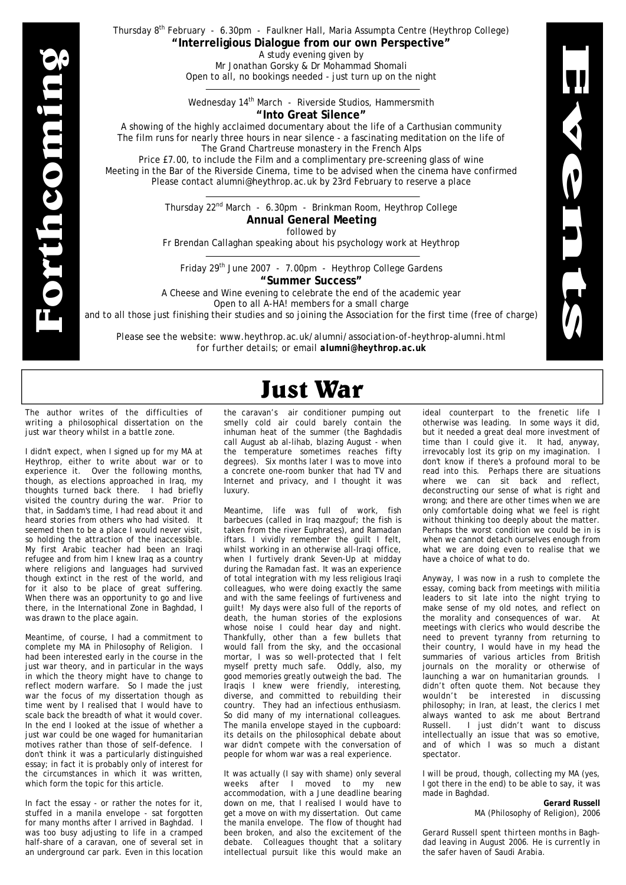**Forthcoming**  orthcomi

#### Thursday 8<sup>th</sup> February - 6.30pm - Faulkner Hall, Maria Assumpta Centre (Heythrop College) **"Interreligious Dialogue from our own Perspective"**

A study evening given by Mr Jonathan Gorsky & Dr Mohammad Shomali Open to all, no bookings needed - just turn up on the night

Wednesday 14<sup>th</sup> March - Riverside Studios, Hammersmith **"Into Great Silence"** 

A showing of the highly acclaimed documentary about the life of a Carthusian community The film runs for nearly three hours in near silence - a fascinating meditation on the life of The Grand Chartreuse monastery in the French Alps Price £7.00, to include the Film and a complimentary pre-screening glass of wine

Meeting in the Bar of the Riverside Cinema, time to be advised when the cinema have confirmed Please contact alumni@heythrop.ac.uk by 23rd February to reserve a place

> Thursday 22<sup>nd</sup> March - 6.30pm - Brinkman Room, Heythrop College **Annual General Meeting**  followed by

Fr Brendan Callaghan speaking about his psychology work at Heythrop

Friday 29th June 2007 - 7.00pm - Heythrop College Gardens **"Summer Success"** 

A Cheese and Wine evening to celebrate the end of the academic year Open to all A-HA! members for a small charge

and to all those just finishing their studies and so joining the Association for the first time (free of charge)

*Please see the website: www.heythrop.ac.uk/alumni/association-of-heythrop-alumni.html for further details; or email alumni@heythrop.ac.uk* 

### **Just War**

*The author writes of the difficulties of writing a philosophical dissertation on the just war theory whilst in a battle zone.* 

I didn't expect, when I signed up for my MA at Heythrop, either to write about war or to experience it. Over the following months, though, as elections approached in Iraq, my thoughts turned back there. I had briefly visited the country during the war. Prior to that, in Saddam's time, I had read about it and heard stories from others who had visited. It seemed then to be a place I would never visit, so holding the attraction of the inaccessible. My first Arabic teacher had been an Iraqi refugee and from him I knew Iraq as a country where religions and languages had survived though extinct in the rest of the world, and for it also to be place of great suffering. When there was an opportunity to go and live there, in the International Zone in Baghdad, I was drawn to the place again.

Meantime, of course, I had a commitment to complete my MA in Philosophy of Religion. I had been interested early in the course in the just war theory, and in particular in the ways in which the theory might have to change to reflect modern warfare. So I made the just war the focus of my dissertation though as time went by I realised that I would have to scale back the breadth of what it would cover. In the end I looked at the issue of whether a just war could be one waged for humanitarian motives rather than those of self-defence. I don't think it was a particularly distinguished essay; in fact it is probably only of interest for the circumstances in which it was written, which form the topic for this article.

In fact the essay - or rather the notes for it, stuffed in a manila envelope - sat forgotten for many months after I arrived in Baghdad. I was too busy adjusting to life in a cramped half-share of a caravan, one of several set in an underground car park. Even in this location

the caravan's air conditioner pumping out smelly cold air could barely contain the inhuman heat of the summer (the Baghdadis call August ab al-lihab, blazing August - when the temperature sometimes reaches fifty degrees). Six months later I was to move into a concrete one-room bunker that had TV and Internet and privacy, and I thought it was luxury.

Meantime, life was full of work, fish barbecues (called in Iraq mazgouf; the fish is taken from the river Euphrates), and Ramadan iftars. I vividly remember the guilt I felt, whilst working in an otherwise all-Iraqi office, when I furtively drank Seven-Up at midday during the Ramadan fast. It was an experience of total integration with my less religious Iraqi colleagues, who were doing exactly the same and with the same feelings of furtiveness and guilt! My days were also full of the reports of death, the human stories of the explosions whose noise I could hear day and night. Thankfully, other than a few bullets that would fall from the sky, and the occasional mortar, I was so well-protected that I felt myself pretty much safe. Oddly, also, my good memories greatly outweigh the bad. The Iraqis I knew were friendly, interesting, diverse, and committed to rebuilding their country. They had an infectious enthusiasm. So did many of my international colleagues. The manila envelope stayed in the cupboard: its details on the philosophical debate about war didn't compete with the conversation of people for whom war was a real experience.

It was actually (I say with shame) only several weeks after I moved to my new accommodation, with a June deadline bearing down on me, that I realised I would have to get a move on with my dissertation. Out came the manila envelope. The flow of thought had been broken, and also the excitement of the debate. Colleagues thought that a solitary intellectual pursuit like this would make an ideal counterpart to the frenetic life I otherwise was leading. In some ways it did, but it needed a great deal more investment of time than I could give it. It had, anyway, irrevocably lost its grip on my imagination. I don't know if there's a profound moral to be read into this. Perhaps there are situations where we can sit back and reflect, deconstructing our sense of what is right and wrong; and there are other times when we are only comfortable doing what we feel is right without thinking too deeply about the matter. Perhaps the worst condition we could be in is when we cannot detach ourselves enough from what we are doing even to realise that we have a choice of what to do.

**Events** 

LUI

Anyway, I was now in a rush to complete the essay, coming back from meetings with militia leaders to sit late into the night trying to make sense of my old notes, and reflect on the morality and consequences of war. At meetings with clerics who would describe the need to prevent tyranny from returning to their country, I would have in my head the summaries of various articles from British journals on the morality or otherwise of launching a war on humanitarian grounds. I didn't often quote them. Not because they wouldn't be interested in discussing philosophy; in Iran, at least, the clerics I met always wanted to ask me about Bertrand Russell. I just didn't want to discuss intellectually an issue that was so emotive, and of which I was so much a distant spectator.

I will be proud, though, collecting my MA (yes, I got there in the end) to be able to say, it was made in Baghdad.

> **Gerard Russell**  MA (Philosophy of Religion), 2006

*Gerard Russell spent thirteen months in Baghdad leaving in August 2006. He is currently in the safer haven of Saudi Arabia.*